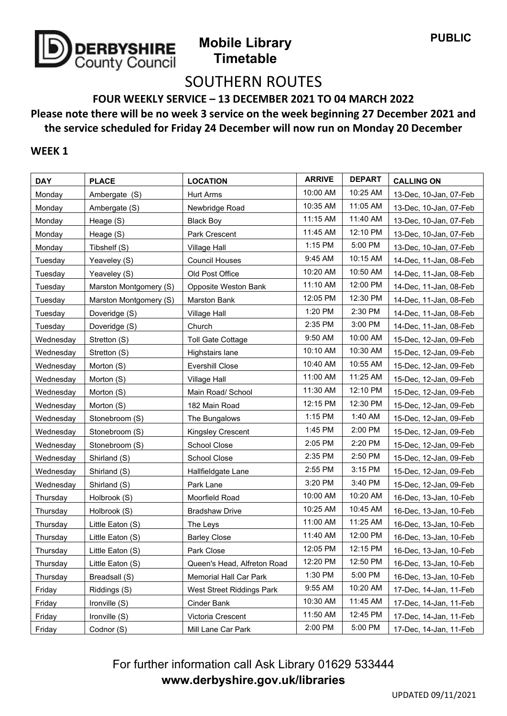

## SOUTHERN ROUTES

**FOUR WEEKLY SERVICE – 13 DECEMBER 2021 TO 04 MARCH 2022**

### **Please note there will be no week 3 service on the week beginning 27 December 2021 and the service scheduled for Friday 24 December will now run on Monday 20 December**

#### **WEEK 1**

| <b>DAY</b> | <b>PLACE</b>           | <b>LOCATION</b>             | <b>ARRIVE</b> | <b>DEPART</b> | <b>CALLING ON</b>      |
|------------|------------------------|-----------------------------|---------------|---------------|------------------------|
| Monday     | Ambergate (S)          | <b>Hurt Arms</b>            | 10:00 AM      | 10:25 AM      | 13-Dec, 10-Jan, 07-Feb |
| Monday     | Ambergate (S)          | Newbridge Road              | 10:35 AM      | 11:05 AM      | 13-Dec, 10-Jan, 07-Feb |
| Monday     | Heage (S)              | <b>Black Boy</b>            | 11:15 AM      | 11:40 AM      | 13-Dec, 10-Jan, 07-Feb |
| Monday     | Heage (S)              | Park Crescent               | 11:45 AM      | 12:10 PM      | 13-Dec, 10-Jan, 07-Feb |
| Monday     | Tibshelf (S)           | Village Hall                | 1:15 PM       | 5:00 PM       | 13-Dec, 10-Jan, 07-Feb |
| Tuesday    | Yeaveley (S)           | <b>Council Houses</b>       | 9:45 AM       | 10:15 AM      | 14-Dec, 11-Jan, 08-Feb |
| Tuesday    | Yeaveley (S)           | Old Post Office             | 10:20 AM      | 10:50 AM      | 14-Dec, 11-Jan, 08-Feb |
| Tuesday    | Marston Montgomery (S) | Opposite Weston Bank        | 11:10 AM      | 12:00 PM      | 14-Dec, 11-Jan, 08-Feb |
| Tuesday    | Marston Montgomery (S) | Marston Bank                | 12:05 PM      | 12:30 PM      | 14-Dec, 11-Jan, 08-Feb |
| Tuesday    | Doveridge (S)          | <b>Village Hall</b>         | 1:20 PM       | 2:30 PM       | 14-Dec, 11-Jan, 08-Feb |
| Tuesday    | Doveridge (S)          | Church                      | 2:35 PM       | 3:00 PM       | 14-Dec, 11-Jan, 08-Feb |
| Wednesday  | Stretton (S)           | <b>Toll Gate Cottage</b>    | 9:50 AM       | 10:00 AM      | 15-Dec, 12-Jan, 09-Feb |
| Wednesday  | Stretton (S)           | Highstairs lane             | 10:10 AM      | 10:30 AM      | 15-Dec, 12-Jan, 09-Feb |
| Wednesday  | Morton (S)             | Evershill Close             | 10:40 AM      | 10:55 AM      | 15-Dec, 12-Jan, 09-Feb |
| Wednesday  | Morton (S)             | <b>Village Hall</b>         | 11:00 AM      | 11:25 AM      | 15-Dec, 12-Jan, 09-Feb |
| Wednesday  | Morton (S)             | Main Road/ School           | 11:30 AM      | 12:10 PM      | 15-Dec, 12-Jan, 09-Feb |
| Wednesday  | Morton (S)             | 182 Main Road               | 12:15 PM      | 12:30 PM      | 15-Dec, 12-Jan, 09-Feb |
| Wednesday  | Stonebroom (S)         | The Bungalows               | 1:15 PM       | 1:40 AM       | 15-Dec, 12-Jan, 09-Feb |
| Wednesday  | Stonebroom (S)         | Kingsley Crescent           | 1:45 PM       | 2:00 PM       | 15-Dec, 12-Jan, 09-Feb |
| Wednesday  | Stonebroom (S)         | School Close                | 2:05 PM       | 2:20 PM       | 15-Dec, 12-Jan, 09-Feb |
| Wednesday  | Shirland (S)           | School Close                | 2:35 PM       | 2:50 PM       | 15-Dec, 12-Jan, 09-Feb |
| Wednesday  | Shirland (S)           | Hallfieldgate Lane          | 2:55 PM       | 3:15 PM       | 15-Dec, 12-Jan, 09-Feb |
| Wednesday  | Shirland (S)           | Park Lane                   | 3:20 PM       | 3:40 PM       | 15-Dec, 12-Jan, 09-Feb |
| Thursday   | Holbrook (S)           | Moorfield Road              | 10:00 AM      | 10:20 AM      | 16-Dec, 13-Jan, 10-Feb |
| Thursday   | Holbrook (S)           | <b>Bradshaw Drive</b>       | 10:25 AM      | 10:45 AM      | 16-Dec, 13-Jan, 10-Feb |
| Thursday   | Little Eaton (S)       | The Leys                    | 11:00 AM      | 11:25 AM      | 16-Dec, 13-Jan, 10-Feb |
| Thursday   | Little Eaton (S)       | <b>Barley Close</b>         | 11:40 AM      | 12:00 PM      | 16-Dec, 13-Jan, 10-Feb |
| Thursday   | Little Eaton (S)       | Park Close                  | 12:05 PM      | 12:15 PM      | 16-Dec, 13-Jan, 10-Feb |
| Thursday   | Little Eaton (S)       | Queen's Head, Alfreton Road | 12:20 PM      | 12:50 PM      | 16-Dec, 13-Jan, 10-Feb |
| Thursday   | Breadsall (S)          | Memorial Hall Car Park      | 1:30 PM       | 5:00 PM       | 16-Dec, 13-Jan, 10-Feb |
| Friday     | Riddings (S)           | West Street Riddings Park   | 9:55 AM       | 10:20 AM      | 17-Dec, 14-Jan, 11-Feb |
| Friday     | Ironville (S)          | Cinder Bank                 | 10:30 AM      | 11:45 AM      | 17-Dec, 14-Jan, 11-Feb |
| Friday     | Ironville (S)          | Victoria Crescent           | 11:50 AM      | 12:45 PM      | 17-Dec, 14-Jan, 11-Feb |
| Friday     | Codnor (S)             | Mill Lane Car Park          | 2:00 PM       | 5:00 PM       | 17-Dec, 14-Jan, 11-Feb |

For further information call Ask Library 01629 533444 **www.derbyshire.gov.uk/libraries**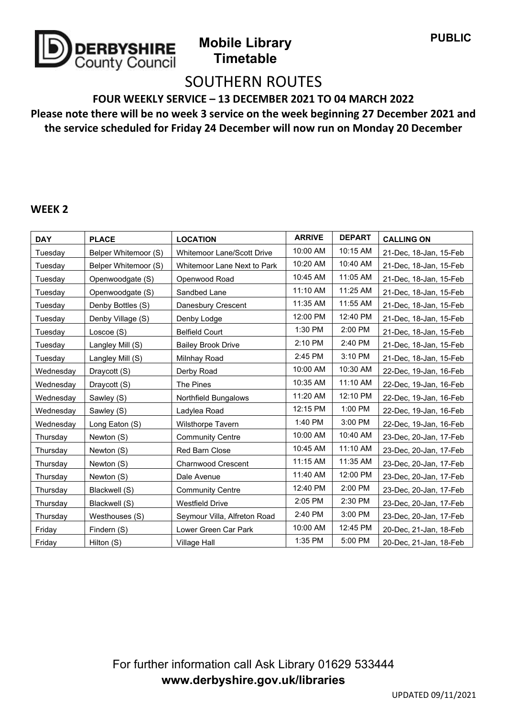

# SOUTHERN ROUTES

**FOUR WEEKLY SERVICE – 13 DECEMBER 2021 TO 04 MARCH 2022**

**Please note there will be no week 3 service on the week beginning 27 December 2021 and the service scheduled for Friday 24 December will now run on Monday 20 December**

#### **WEEK 2**

| <b>DAY</b> | <b>PLACE</b>         | <b>LOCATION</b>              | <b>ARRIVE</b> | <b>DEPART</b> | <b>CALLING ON</b>      |
|------------|----------------------|------------------------------|---------------|---------------|------------------------|
| Tuesday    | Belper Whitemoor (S) | Whitemoor Lane/Scott Drive   | 10:00 AM      | 10:15 AM      | 21-Dec, 18-Jan, 15-Feb |
| Tuesday    | Belper Whitemoor (S) | Whitemoor Lane Next to Park  | 10:20 AM      | 10:40 AM      | 21-Dec, 18-Jan, 15-Feb |
| Tuesday    | Openwoodgate (S)     | Openwood Road                | 10:45 AM      | 11:05 AM      | 21-Dec, 18-Jan, 15-Feb |
| Tuesday    | Openwoodgate (S)     | Sandbed Lane                 | 11:10 AM      | 11:25 AM      | 21-Dec, 18-Jan, 15-Feb |
| Tuesday    | Denby Bottles (S)    | Danesbury Crescent           | 11:35 AM      | 11:55 AM      | 21-Dec, 18-Jan, 15-Feb |
| Tuesday    | Denby Village (S)    | Denby Lodge                  | 12:00 PM      | 12:40 PM      | 21-Dec, 18-Jan, 15-Feb |
| Tuesday    | Loscoe (S)           | <b>Belfield Court</b>        | 1:30 PM       | 2:00 PM       | 21-Dec, 18-Jan, 15-Feb |
| Tuesday    | Langley Mill (S)     | <b>Bailey Brook Drive</b>    | 2:10 PM       | 2:40 PM       | 21-Dec, 18-Jan, 15-Feb |
| Tuesday    | Langley Mill (S)     | Milnhay Road                 | 2:45 PM       | 3:10 PM       | 21-Dec, 18-Jan, 15-Feb |
| Wednesday  | Draycott (S)         | Derby Road                   | 10:00 AM      | 10:30 AM      | 22-Dec, 19-Jan, 16-Feb |
| Wednesday  | Draycott (S)         | The Pines                    | 10:35 AM      | 11:10 AM      | 22-Dec, 19-Jan, 16-Feb |
| Wednesday  | Sawley (S)           | Northfield Bungalows         | 11:20 AM      | 12:10 PM      | 22-Dec, 19-Jan, 16-Feb |
| Wednesday  | Sawley (S)           | Ladylea Road                 | 12:15 PM      | 1:00 PM       | 22-Dec, 19-Jan, 16-Feb |
| Wednesday  | Long Eaton (S)       | Wilsthorpe Tavern            | 1:40 PM       | 3:00 PM       | 22-Dec, 19-Jan, 16-Feb |
| Thursday   | Newton (S)           | <b>Community Centre</b>      | 10:00 AM      | 10:40 AM      | 23-Dec, 20-Jan, 17-Feb |
| Thursday   | Newton (S)           | Red Barn Close               | 10:45 AM      | 11:10 AM      | 23-Dec, 20-Jan, 17-Feb |
| Thursday   | Newton (S)           | <b>Charnwood Crescent</b>    | 11:15 AM      | 11:35 AM      | 23-Dec, 20-Jan, 17-Feb |
| Thursday   | Newton (S)           | Dale Avenue                  | 11:40 AM      | 12:00 PM      | 23-Dec, 20-Jan, 17-Feb |
| Thursday   | Blackwell (S)        | <b>Community Centre</b>      | 12:40 PM      | 2:00 PM       | 23-Dec, 20-Jan, 17-Feb |
| Thursday   | Blackwell (S)        | <b>Westfield Drive</b>       | 2:05 PM       | 2:30 PM       | 23-Dec, 20-Jan, 17-Feb |
| Thursday   | Westhouses (S)       | Seymour Villa, Alfreton Road | 2:40 PM       | 3:00 PM       | 23-Dec, 20-Jan, 17-Feb |
| Friday     | Findern (S)          | Lower Green Car Park         | 10:00 AM      | 12:45 PM      | 20-Dec, 21-Jan, 18-Feb |
| Friday     | Hilton (S)           | Village Hall                 | 1:35 PM       | 5:00 PM       | 20-Dec, 21-Jan, 18-Feb |

For further information call Ask Library 01629 533444 **www.derbyshire.gov.uk/libraries**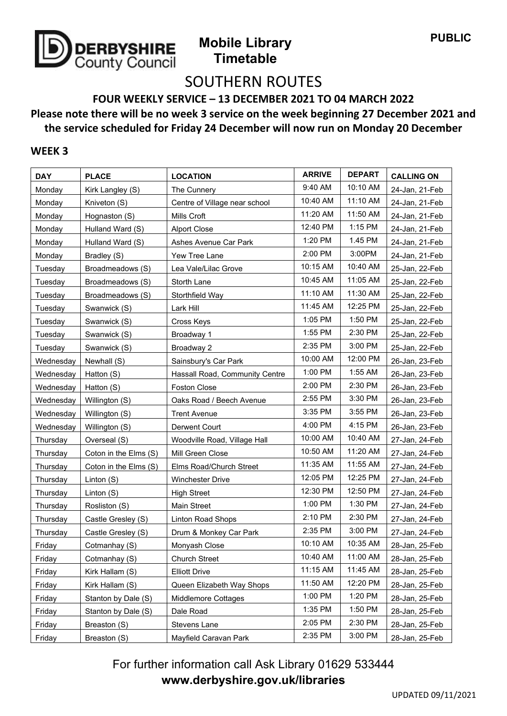

# SOUTHERN ROUTES

**FOUR WEEKLY SERVICE – 13 DECEMBER 2021 TO 04 MARCH 2022**

**Please note there will be no week 3 service on the week beginning 27 December 2021 and the service scheduled for Friday 24 December will now run on Monday 20 December**

### **WEEK 3**

| <b>DAY</b> | <b>PLACE</b>          | <b>LOCATION</b>                | <b>ARRIVE</b> | <b>DEPART</b> | <b>CALLING ON</b> |
|------------|-----------------------|--------------------------------|---------------|---------------|-------------------|
| Monday     | Kirk Langley (S)      | The Cunnery                    | 9:40 AM       | 10:10 AM      | 24-Jan, 21-Feb    |
| Monday     | Kniveton (S)          | Centre of Village near school  | 10:40 AM      | 11:10 AM      | 24-Jan, 21-Feb    |
| Monday     | Hognaston (S)         | Mills Croft                    | 11:20 AM      | 11:50 AM      | 24-Jan, 21-Feb    |
| Monday     | Hulland Ward (S)      | <b>Alport Close</b>            | 12:40 PM      | 1:15 PM       | 24-Jan, 21-Feb    |
| Monday     | Hulland Ward (S)      | Ashes Avenue Car Park          | 1:20 PM       | 1.45 PM       | 24-Jan, 21-Feb    |
| Monday     | Bradley (S)           | Yew Tree Lane                  | 2:00 PM       | 3:00PM        | 24-Jan, 21-Feb    |
| Tuesday    | Broadmeadows (S)      | Lea Vale/Lilac Grove           | 10:15 AM      | 10:40 AM      | 25-Jan, 22-Feb    |
| Tuesday    | Broadmeadows (S)      | Storth Lane                    | 10:45 AM      | 11:05 AM      | 25-Jan, 22-Feb    |
| Tuesday    | Broadmeadows (S)      | Storthfield Way                | 11:10 AM      | 11:30 AM      | 25-Jan, 22-Feb    |
| Tuesday    | Swanwick (S)          | Lark Hill                      | 11:45 AM      | 12:25 PM      | 25-Jan, 22-Feb    |
| Tuesday    | Swanwick (S)          | Cross Keys                     | 1:05 PM       | 1:50 PM       | 25-Jan, 22-Feb    |
| Tuesday    | Swanwick (S)          | Broadway 1                     | 1:55 PM       | 2:30 PM       | 25-Jan, 22-Feb    |
| Tuesday    | Swanwick (S)          | Broadway 2                     | 2:35 PM       | 3:00 PM       | 25-Jan, 22-Feb    |
| Wednesday  | Newhall (S)           | Sainsbury's Car Park           | 10:00 AM      | 12:00 PM      | 26-Jan, 23-Feb    |
| Wednesday  | Hatton (S)            | Hassall Road, Community Centre | 1:00 PM       | 1:55 AM       | 26-Jan, 23-Feb    |
| Wednesday  | Hatton (S)            | <b>Foston Close</b>            | 2:00 PM       | 2:30 PM       | 26-Jan, 23-Feb    |
| Wednesday  | Willington (S)        | Oaks Road / Beech Avenue       | 2:55 PM       | 3:30 PM       | 26-Jan, 23-Feb    |
| Wednesday  | Willington (S)        | <b>Trent Avenue</b>            | 3:35 PM       | 3:55 PM       | 26-Jan, 23-Feb    |
| Wednesday  | Willington (S)        | Derwent Court                  | 4:00 PM       | 4:15 PM       | 26-Jan, 23-Feb    |
| Thursday   | Overseal (S)          | Woodville Road, Village Hall   | 10:00 AM      | 10:40 AM      | 27-Jan, 24-Feb    |
| Thursday   | Coton in the Elms (S) | Mill Green Close               | 10:50 AM      | 11:20 AM      | 27-Jan, 24-Feb    |
| Thursday   | Coton in the Elms (S) | Elms Road/Church Street        | 11:35 AM      | 11:55 AM      | 27-Jan, 24-Feb    |
| Thursday   | Linton (S)            | Winchester Drive               | 12:05 PM      | 12:25 PM      | 27-Jan, 24-Feb    |
| Thursday   | Linton (S)            | <b>High Street</b>             | 12:30 PM      | 12:50 PM      | 27-Jan, 24-Feb    |
| Thursday   | Rosliston (S)         | Main Street                    | 1:00 PM       | 1:30 PM       | 27-Jan, 24-Feb    |
| Thursday   | Castle Gresley (S)    | Linton Road Shops              | 2:10 PM       | 2:30 PM       | 27-Jan, 24-Feb    |
| Thursday   | Castle Gresley (S)    | Drum & Monkey Car Park         | 2:35 PM       | 3:00 PM       | 27-Jan, 24-Feb    |
| Friday     | Cotmanhay (S)         | Monyash Close                  | 10:10 AM      | 10:35 AM      | 28-Jan, 25-Feb    |
| Friday     | Cotmanhay (S)         | <b>Church Street</b>           | 10:40 AM      | 11:00 AM      | 28-Jan, 25-Feb    |
| Friday     | Kirk Hallam (S)       | <b>Elliott Drive</b>           | 11:15 AM      | 11:45 AM      | 28-Jan, 25-Feb    |
| Friday     | Kirk Hallam (S)       | Queen Elizabeth Way Shops      | 11:50 AM      | 12:20 PM      | 28-Jan, 25-Feb    |
| Friday     | Stanton by Dale (S)   | Middlemore Cottages            | 1:00 PM       | 1:20 PM       | 28-Jan, 25-Feb    |
| Friday     | Stanton by Dale (S)   | Dale Road                      | 1:35 PM       | 1:50 PM       | 28-Jan, 25-Feb    |
| Friday     | Breaston (S)          | Stevens Lane                   | 2:05 PM       | 2:30 PM       | 28-Jan, 25-Feb    |
| Friday     | Breaston (S)          | Mayfield Caravan Park          | 2:35 PM       | 3:00 PM       | 28-Jan, 25-Feb    |

For further information call Ask Library 01629 533444 **www.derbyshire.gov.uk/libraries**